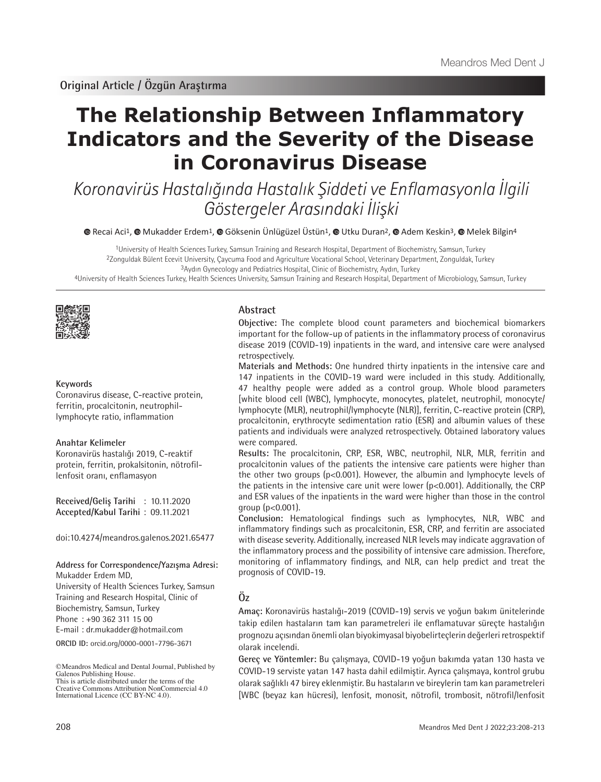# **The Relationship Between Inflammatory Indicators and the Severity of the Disease in Coronavirus Disease**

Koronavirüs Hastalığında Hastalık Şiddeti ve Enflamasyonla İlgili Göstergeler Arasındaki İlişki

 $\bullet$ Recai Aci<sup>1</sup>,  $\bullet$  Mukadder Erdem<sup>1</sup>,  $\bullet$  Göksenin Ünlügüzel Üstün<sup>1</sup>,  $\bullet$  Utku Duran<sup>2</sup>,  $\bullet$  Adem Keskin<sup>3</sup>,  $\bullet$  Melek Bilgin<sup>4</sup>

1University of Health Sciences Turkey, Samsun Training and Research Hospital, Department of Biochemistry, Samsun, Turkey 2Zonguldak Bülent Ecevit University, Çaycuma Food and Agriculture Vocational School, Veterinary Department, Zonguldak, Turkey 3Aydın Gynecology and Pediatrics Hospital, Clinic of Biochemistry, Aydın, Turkey

4University of Health Sciences Turkey, Health Sciences University, Samsun Training and Research Hospital, Department of Microbiology, Samsun, Turkey



#### **Keywords**

Coronavirus disease, C-reactive protein, ferritin, procalcitonin, neutrophillymphocyte ratio, inflammation

#### **Anahtar Kelimeler**

Koronavirüs hastalığı 2019, C-reaktif protein, ferritin, prokalsitonin, nötrofillenfosit oranı, enflamasyon

**Received/Geliş Tarihi** : 10.11.2020 **Accepted/Kabul Tarihi** : 09.11.2021

doi:10.4274/meandros.galenos.2021.65477

**Address for Correspondence/Yazışma Adresi:**

Mukadder Erdem MD, University of Health Sciences Turkey, Samsun Training and Research Hospital, Clinic of Biochemistry, Samsun, Turkey Phone : +90 362 311 15 00 E-mail : dr.mukadder@hotmail.com

**ORCID ID:** orcid.org/0000-0001-7796-3671

#### **Abstract**

**Objective:** The complete blood count parameters and biochemical biomarkers important for the follow-up of patients in the inflammatory process of coronavirus disease 2019 (COVID-19) inpatients in the ward, and intensive care were analysed retrospectively.

**Materials and Methods:** One hundred thirty inpatients in the intensive care and 147 inpatients in the COVID-19 ward were included in this study. Additionally, 47 healthy people were added as a control group. Whole blood parameters [white blood cell (WBC), lymphocyte, monocytes, platelet, neutrophil, monocyte/ lymphocyte (MLR), neutrophil/lymphocyte (NLR)], ferritin, C-reactive protein (CRP), procalcitonin, erythrocyte sedimentation ratio (ESR) and albumin values of these patients and individuals were analyzed retrospectively. Obtained laboratory values were compared.

**Results:** The procalcitonin, CRP, ESR, WBC, neutrophil, NLR, MLR, ferritin and procalcitonin values of the patients the intensive care patients were higher than the other two groups (p<0.001). However, the albumin and lymphocyte levels of the patients in the intensive care unit were lower (p<0.001). Additionally, the CRP and ESR values of the inpatients in the ward were higher than those in the control group  $(p<0.001)$ .

**Conclusion:** Hematological findings such as lymphocytes, NLR, WBC and inflammatory findings such as procalcitonin, ESR, CRP, and ferritin are associated with disease severity. Additionally, increased NLR levels may indicate aggravation of the inflammatory process and the possibility of intensive care admission. Therefore, monitoring of inflammatory findings, and NLR, can help predict and treat the prognosis of COVID-19.

# **Öz**

**Amaç:** Koronavirüs hastalığı-2019 (COVID-19) servis ve yoğun bakım ünitelerinde takip edilen hastaların tam kan parametreleri ile enflamatuvar süreçte hastalığın prognozu açısından önemli olan biyokimyasal biyobelirteçlerin değerleri retrospektif olarak incelendi.

**Gereç ve Yöntemler:** Bu çalışmaya, COVID-19 yoğun bakımda yatan 130 hasta ve COVID-19 serviste yatan 147 hasta dahil edilmiştir. Ayrıca çalışmaya, kontrol grubu olarak sağlıklı 47 birey eklenmiştir. Bu hastaların ve bireylerin tam kan parametreleri [WBC (beyaz kan hücresi), lenfosit, monosit, nötrofil, trombosit, nötrofil/lenfosit

<sup>©</sup>Meandros Medical and Dental Journal, Published by Galenos Publishing House. This is article distributed under the terms of the

Creative Commons Attribution NonCommercial 4.0 International Licence (CC BY-NC 4.0).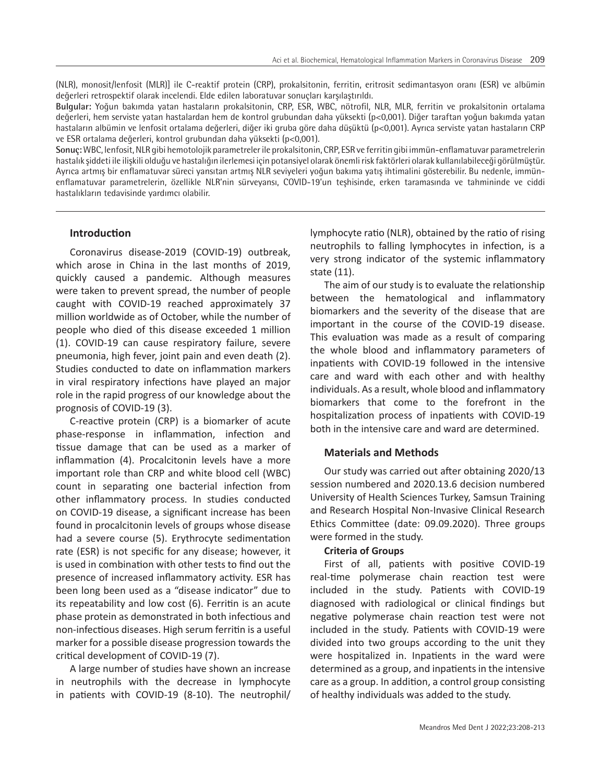(NLR), monosit/lenfosit (MLR)] ile C-reaktif protein (CRP), prokalsitonin, ferritin, eritrosit sedimantasyon oranı (ESR) ve albümin değerleri retrospektif olarak incelendi. Elde edilen laboratuvar sonuçları karşılaştırıldı.

**Bulgular:** Yoğun bakımda yatan hastaların prokalsitonin, CRP, ESR, WBC, nötrofil, NLR, MLR, ferritin ve prokalsitonin ortalama değerleri, hem serviste yatan hastalardan hem de kontrol grubundan daha yüksekti (p<0,001). Diğer taraftan yoğun bakımda yatan hastaların albümin ve lenfosit ortalama değerleri, diğer iki gruba göre daha düşüktü (p<0,001). Ayrıca serviste yatan hastaların CRP ve ESR ortalama değerleri, kontrol grubundan daha yüksekti (p<0,001).

**Sonuç:** WBC, lenfosit, NLR gibi hemotolojik parametreler ile prokalsitonin, CRP, ESR ve ferritin gibi immün-enflamatuvar parametrelerin hastalık şiddeti ile ilişkili olduğu ve hastalığın ilerlemesi için potansiyel olarak önemli risk faktörleri olarak kullanılabileceği görülmüştür. Ayrıca artmış bir enflamatuvar süreci yansıtan artmış NLR seviyeleri yoğun bakıma yatış ihtimalini gösterebilir. Bu nedenle, immünenflamatuvar parametrelerin, özellikle NLR'nin sürveyansı, COVID-19'un teşhisinde, erken taramasında ve tahmininde ve ciddi hastalıkların tedavisinde yardımcı olabilir.

# **Introduction**

Coronavirus disease-2019 (COVID-19) outbreak, which arose in China in the last months of 2019, quickly caused a pandemic. Although measures were taken to prevent spread, the number of people caught with COVID-19 reached approximately 37 million worldwide as of October, while the number of people who died of this disease exceeded 1 million (1). COVID-19 can cause respiratory failure, severe pneumonia, high fever, joint pain and even death (2). Studies conducted to date on inflammation markers in viral respiratory infections have played an major role in the rapid progress of our knowledge about the prognosis of COVID-19 (3).

C-reactive protein (CRP) is a biomarker of acute phase-response in inflammation, infection and tissue damage that can be used as a marker of inflammation (4). Procalcitonin levels have a more important role than CRP and white blood cell (WBC) count in separating one bacterial infection from other inflammatory process. In studies conducted on COVID-19 disease, a significant increase has been found in procalcitonin levels of groups whose disease had a severe course (5). Erythrocyte sedimentation rate (ESR) is not specific for any disease; however, it is used in combination with other tests to find out the presence of increased inflammatory activity. ESR has been long been used as a "disease indicator" due to its repeatability and low cost (6). Ferritin is an acute phase protein as demonstrated in both infectious and non-infectious diseases. High serum ferritin is a useful marker for a possible disease progression towards the critical development of COVID-19 (7).

A large number of studies have shown an increase in neutrophils with the decrease in lymphocyte in patients with COVID-19 (8-10). The neutrophil/ lymphocyte ratio (NLR), obtained by the ratio of rising neutrophils to falling lymphocytes in infection, is a very strong indicator of the systemic inflammatory state (11).

The aim of our study is to evaluate the relationship between the hematological and inflammatory biomarkers and the severity of the disease that are important in the course of the COVID-19 disease. This evaluation was made as a result of comparing the whole blood and inflammatory parameters of inpatients with COVID-19 followed in the intensive care and ward with each other and with healthy individuals. As a result, whole blood and inflammatory biomarkers that come to the forefront in the hospitalization process of inpatients with COVID-19 both in the intensive care and ward are determined.

#### **Materials and Methods**

Our study was carried out after obtaining 2020/13 session numbered and 2020.13.6 decision numbered University of Health Sciences Turkey, Samsun Training and Research Hospital Non-Invasive Clinical Research Ethics Committee (date: 09.09.2020). Three groups were formed in the study.

#### **Criteria of Groups**

First of all, patients with positive COVID-19 real-time polymerase chain reaction test were included in the study. Patients with COVID-19 diagnosed with radiological or clinical findings but negative polymerase chain reaction test were not included in the study. Patients with COVID-19 were divided into two groups according to the unit they were hospitalized in. Inpatients in the ward were determined as a group, and inpatients in the intensive care as a group. In addition, a control group consisting of healthy individuals was added to the study.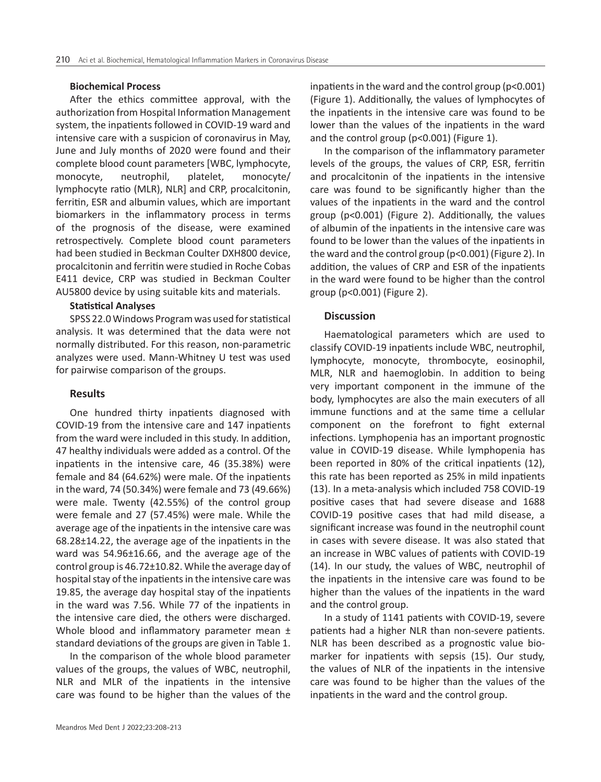#### **Biochemical Process**

After the ethics committee approval, with the authorization from Hospital Information Management system, the inpatients followed in COVID-19 ward and intensive care with a suspicion of coronavirus in May, June and July months of 2020 were found and their complete blood count parameters [WBC, lymphocyte, monocyte, neutrophil, platelet, monocyte/ lymphocyte ratio (MLR), NLR] and CRP, procalcitonin, ferritin, ESR and albumin values, which are important biomarkers in the inflammatory process in terms of the prognosis of the disease, were examined retrospectively. Complete blood count parameters had been studied in Beckman Coulter DXH800 device, procalcitonin and ferritin were studied in Roche Cobas E411 device, CRP was studied in Beckman Coulter AU5800 device by using suitable kits and materials.

#### **Statistical Analyses**

SPSS 22.0 Windows Program was used for statistical analysis. It was determined that the data were not normally distributed. For this reason, non-parametric analyzes were used. Mann-Whitney U test was used for pairwise comparison of the groups.

# **Results**

One hundred thirty inpatients diagnosed with COVID-19 from the intensive care and 147 inpatients from the ward were included in this study. In addition, 47 healthy individuals were added as a control. Of the inpatients in the intensive care, 46 (35.38%) were female and 84 (64.62%) were male. Of the inpatients in the ward, 74 (50.34%) were female and 73 (49.66%) were male. Twenty (42.55%) of the control group were female and 27 (57.45%) were male. While the average age of the inpatients in the intensive care was 68.28±14.22, the average age of the inpatients in the ward was 54.96±16.66, and the average age of the control group is 46.72±10.82. While the average day of hospital stay of the inpatients in the intensive care was 19.85, the average day hospital stay of the inpatients in the ward was 7.56. While 77 of the inpatients in the intensive care died, the others were discharged. Whole blood and inflammatory parameter mean  $\pm$ standard deviations of the groups are given in Table 1.

In the comparison of the whole blood parameter values of the groups, the values of WBC, neutrophil, NLR and MLR of the inpatients in the intensive care was found to be higher than the values of the

inpatients in the ward and the control group (p<0.001) (Figure 1). Additionally, the values of lymphocytes of the inpatients in the intensive care was found to be lower than the values of the inpatients in the ward and the control group (p<0.001) (Figure 1).

In the comparison of the inflammatory parameter levels of the groups, the values of CRP, ESR, ferritin and procalcitonin of the inpatients in the intensive care was found to be significantly higher than the values of the inpatients in the ward and the control group (p<0.001) (Figure 2). Additionally, the values of albumin of the inpatients in the intensive care was found to be lower than the values of the inpatients in the ward and the control group (p<0.001) (Figure 2). In addition, the values of CRP and ESR of the inpatients in the ward were found to be higher than the control group (p<0.001) (Figure 2).

# **Discussion**

Haematological parameters which are used to classify COVID-19 inpatients include WBC, neutrophil, lymphocyte, monocyte, thrombocyte, eosinophil, MLR, NLR and haemoglobin. In addition to being very important component in the immune of the body, lymphocytes are also the main executers of all immune functions and at the same time a cellular component on the forefront to fight external infections. Lymphopenia has an important prognostic value in COVID-19 disease. While lymphopenia has been reported in 80% of the critical inpatients (12), this rate has been reported as 25% in mild inpatients (13). In a meta-analysis which included 758 COVID-19 positive cases that had severe disease and 1688 COVID-19 positive cases that had mild disease, a significant increase was found in the neutrophil count in cases with severe disease. It was also stated that an increase in WBC values of patients with COVID-19 (14). In our study, the values of WBC, neutrophil of the inpatients in the intensive care was found to be higher than the values of the inpatients in the ward and the control group.

In a study of 1141 patients with COVID-19, severe patients had a higher NLR than non-severe patients. NLR has been described as a prognostic value biomarker for inpatients with sepsis (15). Our study, the values of NLR of the inpatients in the intensive care was found to be higher than the values of the inpatients in the ward and the control group.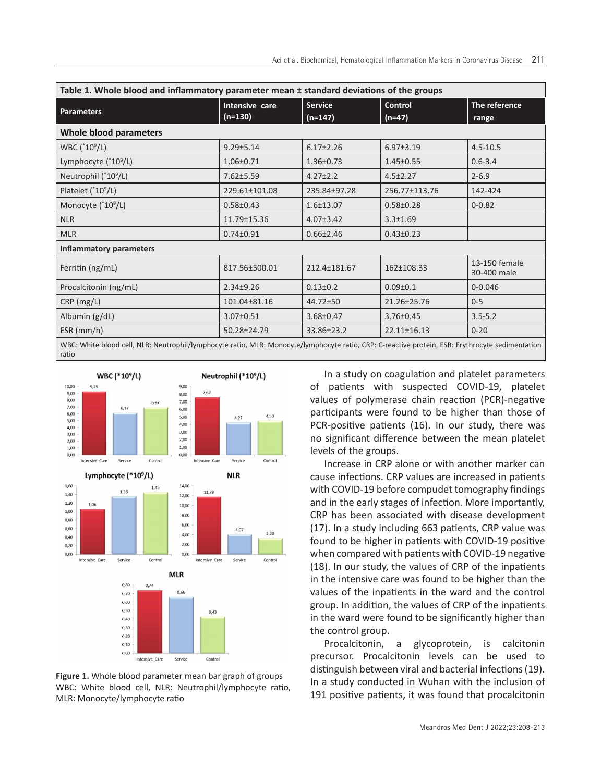| Table 1. Whole blood and inflammatory parameter mean ± standard deviations of the groups                                                                  |                             |                             |                            |                              |
|-----------------------------------------------------------------------------------------------------------------------------------------------------------|-----------------------------|-----------------------------|----------------------------|------------------------------|
| <b>Parameters</b>                                                                                                                                         | Intensive care<br>$(n=130)$ | <b>Service</b><br>$(n=147)$ | <b>Control</b><br>$(n=47)$ | The reference<br>range       |
| Whole blood parameters                                                                                                                                    |                             |                             |                            |                              |
| WBC (*10 <sup>9</sup> /L)                                                                                                                                 | $9.29 \pm 5.14$             | $6.17 \pm 2.26$             | $6.97 \pm 3.19$            | $4.5 - 10.5$                 |
| Lymphocyte $(^*10^9/L)$                                                                                                                                   | $1.06 \pm 0.71$             | $1.36 \pm 0.73$             | $1.45 \pm 0.55$            | $0.6 - 3.4$                  |
| Neutrophil $(^*10^9/L)$                                                                                                                                   | $7.62 \pm 5.59$             | $4.27 \pm 2.2$              | $4.5 \pm 2.27$             | $2 - 6.9$                    |
| Platelet $(^*10^9/L)$                                                                                                                                     | 229.61±101.08               | 235.84±97.28                | 256.77±113.76              | 142-424                      |
| Monocyte (*10 <sup>9</sup> /L)                                                                                                                            | $0.58 \pm 0.43$             | $1.6 \pm 13.07$             | $0.58 + 0.28$              | $0 - 0.82$                   |
| <b>NLR</b>                                                                                                                                                | 11.79±15.36                 | $4.07 \pm 3.42$             | $3.3 \pm 1.69$             |                              |
| <b>MLR</b>                                                                                                                                                | $0.74 \pm 0.91$             | $0.66 \pm 2.46$             | $0.43 \pm 0.23$            |                              |
| <b>Inflammatory parameters</b>                                                                                                                            |                             |                             |                            |                              |
| Ferritin (ng/mL)                                                                                                                                          | 817.56±500.01               | 212.4±181.67                | 162±108.33                 | 13-150 female<br>30-400 male |
| Procalcitonin (ng/mL)                                                                                                                                     | $2.34 \pm 9.26$             | $0.13 \pm 0.2$              | $0.09 + 0.1$               | $0 - 0.046$                  |
| $CRP$ (mg/L)                                                                                                                                              | 101.04±81.16                | $44.72 + 50$                | 21.26±25.76                | $0 - 5$                      |
| Albumin $(g/dL)$                                                                                                                                          | $3.07 \pm 0.51$             | $3.68 \pm 0.47$             | $3.76 \pm 0.45$            | $3.5 - 5.2$                  |
| $ESR$ (mm/h)                                                                                                                                              | 50.28±24.79                 | 33.86±23.2                  | $22.11 \pm 16.13$          | $0 - 20$                     |
| WBC: White blood cell, NLR: Neutrophil/lymphocyte ratio, MLR: Monocyte/lymphocyte ratio, CRP: C-reactive protein, ESR: Erythrocyte sedimentation<br>ratio |                             |                             |                            |                              |



**Figure 1.** Whole blood parameter mean bar graph of groups WBC: White blood cell, NLR: Neutrophil/lymphocyte ratio, MLR: Monocyte/lymphocyte ratio

In a study on coagulation and platelet parameters of patients with suspected COVID-19, platelet values of polymerase chain reaction (PCR)-negative participants were found to be higher than those of PCR-positive patients (16). In our study, there was no significant difference between the mean platelet levels of the groups.

Increase in CRP alone or with another marker can cause infections. CRP values are increased in patients with COVID-19 before compudet tomography findings and in the early stages of infection. More importantly, CRP has been associated with disease development (17). In a study including 663 patients, CRP value was found to be higher in patients with COVID-19 positive when compared with patients with COVID-19 negative (18). In our study, the values of CRP of the inpatients in the intensive care was found to be higher than the values of the inpatients in the ward and the control group. In addition, the values of CRP of the inpatients in the ward were found to be significantly higher than the control group.

Procalcitonin, a glycoprotein, is calcitonin precursor. Procalcitonin levels can be used to distinguish between viral and bacterial infections (19). In a study conducted in Wuhan with the inclusion of 191 positive patients, it was found that procalcitonin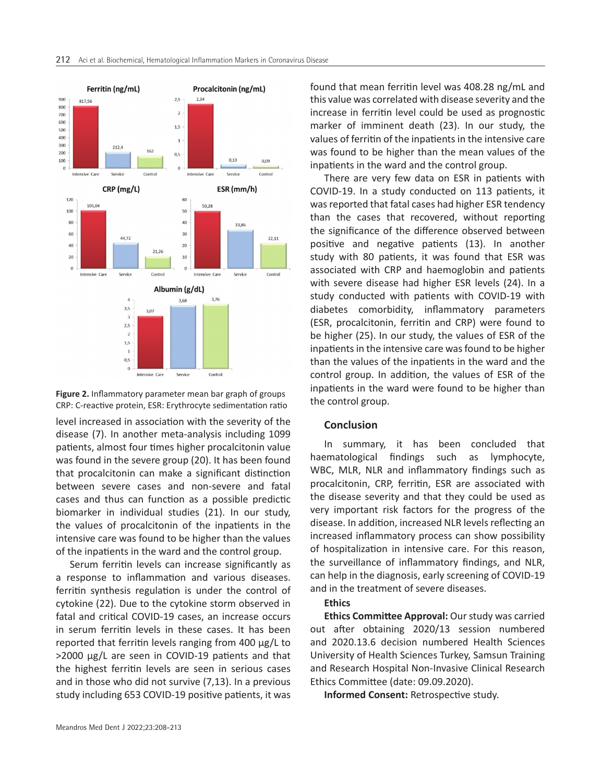

**Figure 2.** Inflammatory parameter mean bar graph of groups CRP: C-reactive protein, ESR: Erythrocyte sedimentation ratio

level increased in association with the severity of the disease (7). In another meta-analysis including 1099 patients, almost four times higher procalcitonin value was found in the severe group (20). It has been found that procalcitonin can make a significant distinction between severe cases and non-severe and fatal cases and thus can function as a possible predictic biomarker in individual studies (21). In our study, the values of procalcitonin of the inpatients in the intensive care was found to be higher than the values of the inpatients in the ward and the control group.

Serum ferritin levels can increase significantly as a response to inflammation and various diseases. ferritin synthesis regulation is under the control of cytokine (22). Due to the cytokine storm observed in fatal and critical COVID-19 cases, an increase occurs in serum ferritin levels in these cases. It has been reported that ferritin levels ranging from 400 μg/L to >2000 μg/L are seen in COVID-19 patients and that the highest ferritin levels are seen in serious cases and in those who did not survive (7,13). In a previous study including 653 COVID-19 positive patients, it was

found that mean ferritin level was 408.28 ng/mL and this value was correlated with disease severity and the increase in ferritin level could be used as prognostic marker of imminent death (23). In our study, the values of ferritin of the inpatients in the intensive care was found to be higher than the mean values of the inpatients in the ward and the control group.

There are very few data on ESR in patients with COVID-19. In a study conducted on 113 patients, it was reported that fatal cases had higher ESR tendency than the cases that recovered, without reporting the significance of the difference observed between positive and negative patients (13). In another study with 80 patients, it was found that ESR was associated with CRP and haemoglobin and patients with severe disease had higher ESR levels (24). In a study conducted with patients with COVID-19 with diabetes comorbidity, inflammatory parameters (ESR, procalcitonin, ferritin and CRP) were found to be higher (25). In our study, the values of ESR of the inpatients in the intensive care was found to be higher than the values of the inpatients in the ward and the control group. In addition, the values of ESR of the inpatients in the ward were found to be higher than the control group.

# **Conclusion**

In summary, it has been concluded that haematological findings such as lymphocyte, WBC, MLR, NLR and inflammatory findings such as procalcitonin, CRP, ferritin, ESR are associated with the disease severity and that they could be used as very important risk factors for the progress of the disease. In addition, increased NLR levels reflecting an increased inflammatory process can show possibility of hospitalization in intensive care. For this reason, the surveillance of inflammatory findings, and NLR, can help in the diagnosis, early screening of COVID-19 and in the treatment of severe diseases.

# **Ethics**

**Ethics Committee Approval:** Our study was carried out after obtaining 2020/13 session numbered and 2020.13.6 decision numbered Health Sciences University of Health Sciences Turkey, Samsun Training and Research Hospital Non-Invasive Clinical Research Ethics Committee (date: 09.09.2020).

**Informed Consent:** Retrospective study.